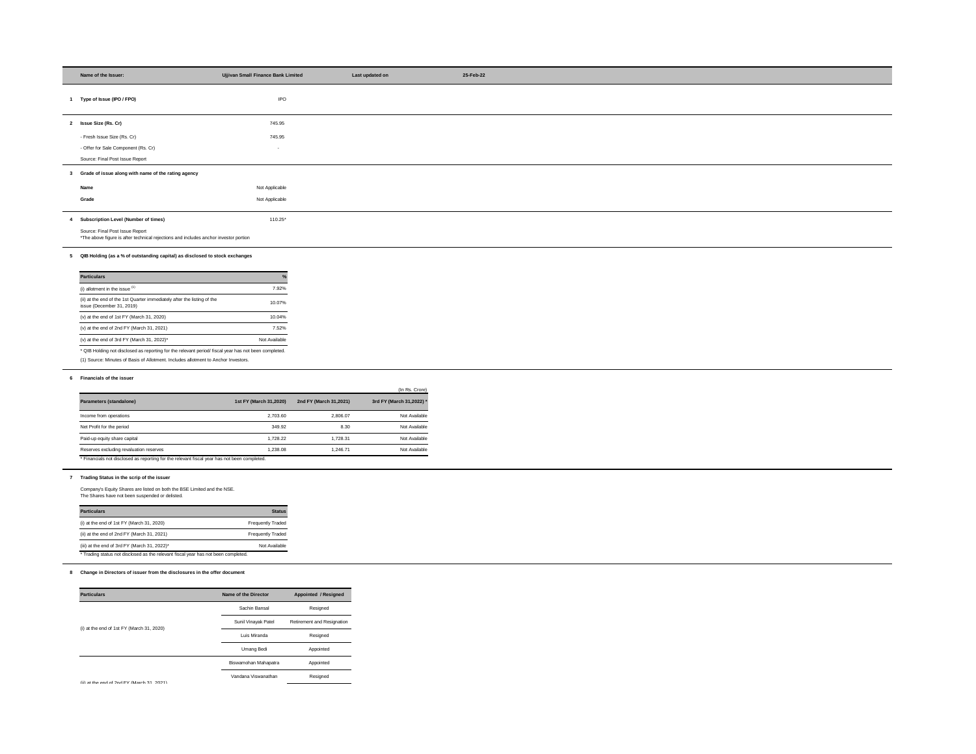| Name of the Issuer:                                                                                                                | Ujjivan Small Finance Bank Limited |                             | Last updated on                |
|------------------------------------------------------------------------------------------------------------------------------------|------------------------------------|-----------------------------|--------------------------------|
| 1 Type of Issue (IPO / FPO)                                                                                                        | <b>IPO</b>                         |                             |                                |
|                                                                                                                                    |                                    |                             |                                |
| 2 Issue Size (Rs. Cr)                                                                                                              | 745.95                             |                             |                                |
| - Fresh Issue Size (Rs. Cr)                                                                                                        | 745.95                             |                             |                                |
| - Offer for Sale Component (Rs. Cr)                                                                                                | $\sim$                             |                             |                                |
| Source: Final Post Issue Report                                                                                                    |                                    |                             |                                |
| 3 Grade of issue along with name of the rating agency                                                                              |                                    |                             |                                |
|                                                                                                                                    |                                    |                             |                                |
| Name<br>Grade                                                                                                                      | Not Applicable                     |                             |                                |
|                                                                                                                                    | Not Applicable                     |                             |                                |
| 4 Subscription Level (Number of times)                                                                                             | 110.25*                            |                             |                                |
| Source: Final Post Issue Report                                                                                                    |                                    |                             |                                |
| *The above figure is after technical rejections and includes anchor investor portion                                               |                                    |                             |                                |
| 5 QIB Holding (as a % of outstanding capital) as disclosed to stock exchanges                                                      |                                    |                             |                                |
|                                                                                                                                    |                                    |                             |                                |
| <b>Particulars</b>                                                                                                                 |                                    |                             |                                |
| (i) allotment in the issue $(1)$                                                                                                   | 7.92%                              |                             |                                |
| (ii) at the end of the 1st Quarter immediately after the listing of the<br>issue (December 31, 2019)                               | 10.07%                             |                             |                                |
| (v) at the end of 1st FY (March 31, 2020)                                                                                          | 10.04%                             |                             |                                |
| (v) at the end of 2nd FY (March 31, 2021)                                                                                          | 7.52%                              |                             |                                |
| (v) at the end of 3rd FY (March 31, 2022)*                                                                                         | Not Available                      |                             |                                |
| * QIB Holding not disclosed as reporting for the relevant period/ fiscal year has not been completed.                              |                                    |                             |                                |
| (1) Source: Minutes of Basis of Allotment. Includes allotment to Anchor Investors.                                                 |                                    |                             |                                |
| 6 Financials of the issuer                                                                                                         |                                    |                             |                                |
|                                                                                                                                    |                                    |                             |                                |
|                                                                                                                                    |                                    |                             | (In Rs. Crore)                 |
| Parameters (standalone)                                                                                                            | 1st FY (March 31,2020)             | 2nd FY (March 31,2021)      | 3rd FY (March 31,2022)         |
|                                                                                                                                    |                                    |                             |                                |
| Income from operations                                                                                                             | 2,703.60                           | 2,806.07                    | Not Available                  |
| Net Profit for the period                                                                                                          | 349.92<br>1,728.22                 | 8.30<br>1,728.31            | Not Available<br>Not Available |
| Paid-up equity share capital<br>Reserves excluding revaluation reserves                                                            | 1,238.08                           | 1,246.71                    | Not Available                  |
| * Financials not disclosed as reporting for the relevant fiscal year has not been completed.                                       |                                    |                             |                                |
|                                                                                                                                    |                                    |                             |                                |
| 7 Trading Status in the scrip of the issuer                                                                                        |                                    |                             |                                |
| Company's Equity Shares are listed on both the BSE Limited and the NSE.<br>The Shares have not been suspended or delisted.         |                                    |                             |                                |
|                                                                                                                                    |                                    |                             |                                |
| <b>Particulars</b>                                                                                                                 | <b>Status</b>                      |                             |                                |
| (i) at the end of 1st FY (March 31, 2020)                                                                                          | <b>Frequently Traded</b>           |                             |                                |
| (ii) at the end of 2nd FY (March 31, 2021)                                                                                         | <b>Frequently Traded</b>           |                             |                                |
| (iii) at the end of 3rd FY (March 31, 2022)*<br>* Trading status not disclosed as the relevant fiscal year has not been completed. | Not Available                      |                             |                                |
|                                                                                                                                    |                                    |                             |                                |
| 8 Change in Directors of issuer from the disclosures in the offer document                                                         |                                    |                             |                                |
|                                                                                                                                    |                                    |                             |                                |
| <b>Particulars</b>                                                                                                                 | Name of the Director               | <b>Appointed / Resigned</b> |                                |
|                                                                                                                                    | Sachin Bansal                      | Resigned                    |                                |
|                                                                                                                                    | Sunil Vinayak Patel                | Retirement and Resignation  |                                |
| (i) at the end of 1st FY (March 31, 2020)                                                                                          | Luis Miranda                       | Resigned                    |                                |

| <b>Particulars</b>                                                                                   | $\frac{9}{6}$ |
|------------------------------------------------------------------------------------------------------|---------------|
| (i) allotment in the issue $(1)$                                                                     | 7.92%         |
| (ii) at the end of the 1st Quarter immediately after the listing of the<br>issue (December 31, 2019) | 10.07%        |
| (v) at the end of 1st $FY$ (March 31, 2020)                                                          | 10.04%        |
| (v) at the end of $2nd FY$ (March 31, 2021)                                                          | 7.52%         |
| (v) at the end of 3rd FY (March 31, 2022)*                                                           | Not Available |

|                                                                                                       |                        |                        | (In Rs. Crore)           |
|-------------------------------------------------------------------------------------------------------|------------------------|------------------------|--------------------------|
| Parameters (standalone)                                                                               | 1st FY (March 31,2020) | 2nd FY (March 31,2021) | 3rd FY (March 31,2022) * |
| Income from operations                                                                                | 2,703.60               | 2,806.07               | Not Available            |
| Net Profit for the period                                                                             | 349.92                 | 8.30                   | Not Available            |
| Paid-up equity share capital                                                                          | 1.728.22               | 1.728.31               | Not Available            |
| Reserves excluding revaluation reserves                                                               | 1,238.08               | 1.246.71               | Not Available            |
| * Eisen einig met alle einen dien menentien fan tien meiermet fienel roen is en met is een menschatel |                        |                        |                          |

| <b>Particulars</b>                                                                 | <b>Status</b>            |
|------------------------------------------------------------------------------------|--------------------------|
| (i) at the end of 1st $FY$ (March 31, 2020)                                        | <b>Frequently Traded</b> |
| (ii) at the end of 2nd FY (March 31, 2021)                                         | <b>Frequently Traded</b> |
| (iii) at the end of 3rd FY (March 31, 2022)*                                       | Not Available            |
| * Trading status not disclosed as the relevant fiscal year has not been completed. |                          |

| <b>Particulars</b>                            | <b>Name of the Director</b> | <b>Appointed / Resigned</b> |
|-----------------------------------------------|-----------------------------|-----------------------------|
|                                               | Sachin Bansal               | Resigned                    |
|                                               | Sunil Vinayak Patel         | Retirement and Resignation  |
| (i) at the end of 1st $FY$ (March 31, 2020)   | Luis Miranda                | Resigned                    |
|                                               | <b>Umang Bedi</b>           | Appointed                   |
|                                               | Biswamohan Mahapatra        | Appointed                   |
| $(iii)$ at the end of 2nd FY (March 31, 2021) | Vandana Viswanathan         | Resigned                    |
|                                               |                             |                             |

(ii) at the end of 2nd FY (March 31, 2021)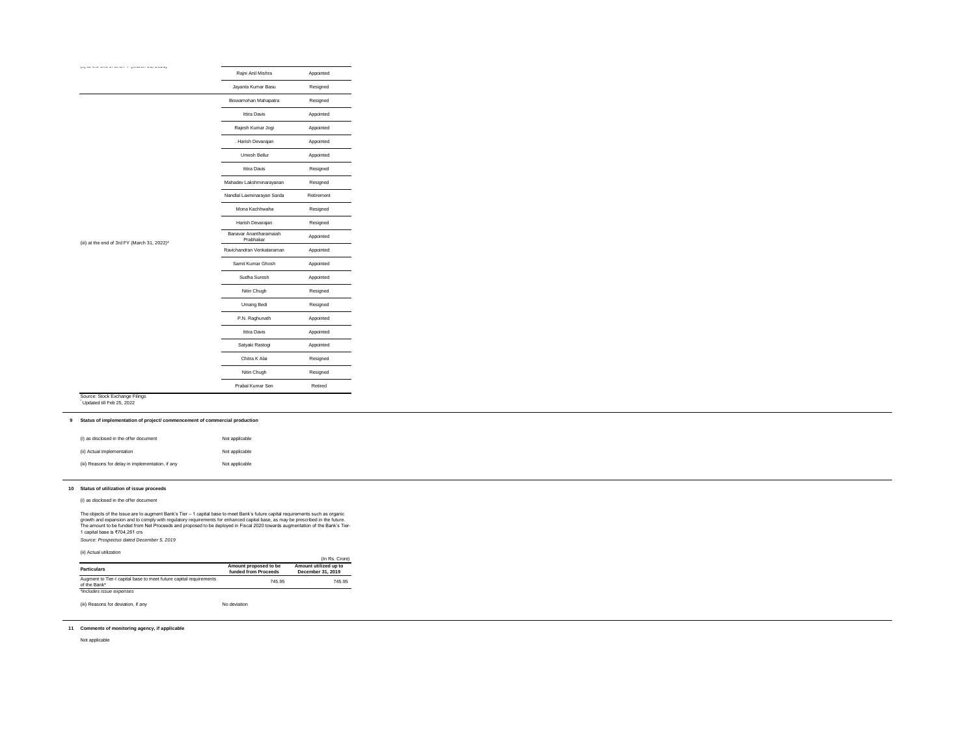| (i) as disclosed in the offer document            | Not applicable |
|---------------------------------------------------|----------------|
| (ii) Actual implementation                        | Not applicable |
| (iii) Reasons for delay in implementation, if any | Not applicable |

|                                                             | Rajni Anil Mishra                   | Appointed  |
|-------------------------------------------------------------|-------------------------------------|------------|
|                                                             | Jayanta Kumar Basu                  | Resigned   |
|                                                             | Biswamohan Mahapatra                | Resigned   |
|                                                             | Ittira Davis                        | Appointed  |
|                                                             | Rajesh Kumar Jogi                   | Appointed  |
|                                                             | . Harish Devarajan                  | Appointed  |
|                                                             | Umesh Bellur                        | Appointed  |
|                                                             | Ittira Davis                        | Resigned   |
|                                                             | Mahadev Lakshminarayanan            | Resigned   |
|                                                             | Nandlal Laxminarayan Sarda          | Retirement |
|                                                             | Mona Kachhwaha                      | Resigned   |
|                                                             | Harish Devarajan                    | Resigned   |
|                                                             | Banavar Anantharamaiah<br>Prabhakar | Appointed  |
| (iii) at the end of 3rd FY (March 31, 2022)*                | Ravichandran Venkataraman           | Appointed  |
|                                                             | Samit Kumar Ghosh                   | Appointed  |
|                                                             | Sudha Suresh                        | Appointed  |
|                                                             | Nitin Chugh                         | Resigned   |
|                                                             | Umang Bedi                          | Resigned   |
|                                                             | P.N. Raghunath                      | Appointed  |
|                                                             | Ittira Davis                        | Appointed  |
|                                                             | Satyaki Rastogi                     | Appointed  |
|                                                             | Chitra K Alai                       | Resigned   |
|                                                             | Nitin Chugh                         | Resigned   |
|                                                             | Prabal Kumar Sen                    | Retired    |
| Source: Stock Exchange Filings<br>Updated till Feb 25, 2022 |                                     |            |

## **10 Status of utilization of issue proceeds**

(i) as disclosed in the offer document

*Source: Prospectus dated December 5, 2019*

(ii) Actual utilization

| un roluur ulinzullon                                                               |                                               | (In Rs. Crore)                             |
|------------------------------------------------------------------------------------|-----------------------------------------------|--------------------------------------------|
| <b>Particulars</b>                                                                 | Amount proposed to be<br>funded from Proceeds | Amount utilized up to<br>December 31, 2019 |
| Augment to Tier-I capital base to meet future capital requirements<br>of the Bank* | 745.95                                        | 745.95                                     |
| *includes issue expenses                                                           |                                               |                                            |

(iii) Reasons for deviation, if any No deviation

# **11 Comments of monitoring agency, if applicable**

Not applicable

The objects of the Issue are to augment Bank's Tier – 1 capital base to meet Bank's future capital requirements such as organic growth and expansion and to comply with regulatory requirements for enhanced capital base, as may be prescribed in the future. The amount to be funded from Net Proceeds and proposed to be deployed in Fiscal 2020 towards augmentation of the Bank's Tier-1 capital base is ₹704.261 crs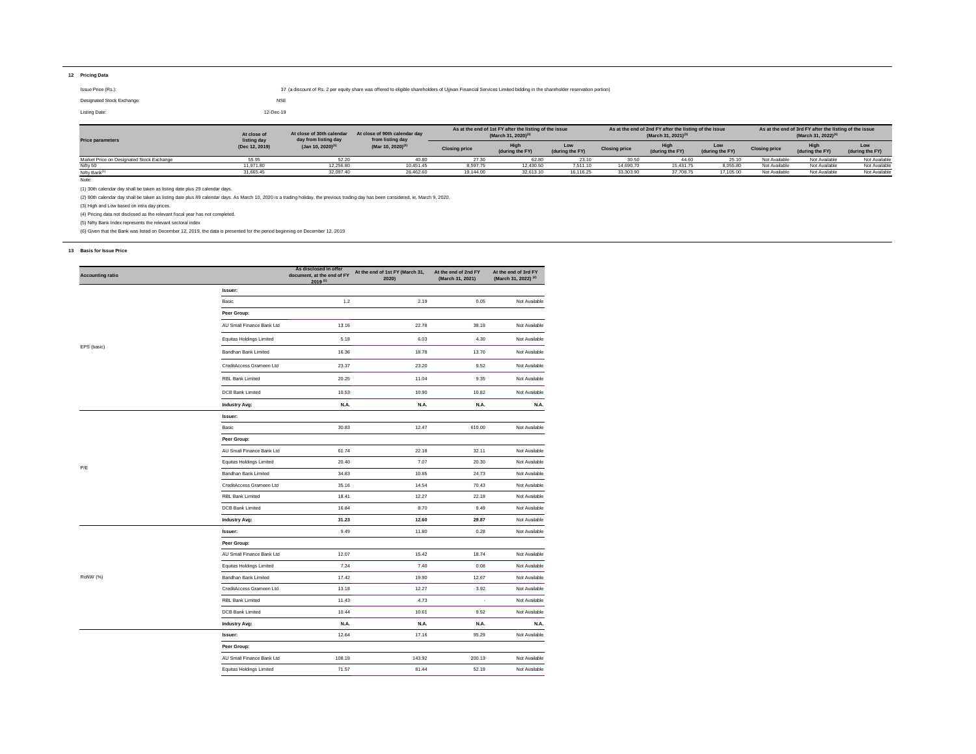## **12 Pricing Data**

Note:

(1) 30th calendar day shall be taken as listing date plus 29 calendar days.

(2) 90th calendar day shall be taken as listing date plus 89 calendar days. As March 10, 2020 is a trading holiday, the previous trading day has been considered, ie, March 9, 2020.

(3) High and Low based on intra day prices.

(4) Pricing data not disclosed as the relevant fiscal year has not completed.

(5) Nifty Bank Index represents the relevant sectoral index

(6) Given that the Bank was listed on December 12, 2019, the data is presented for the period beginning on December 12, 2019

### **13 Basis for Issue Price**

Issue Price (Rs.): Subsetting the shareholders of Using the Shareholders of Using and Services Limited bidding in the shareholder reservation portion) 37 (a discount of Rs. 2 per equity share was offered to eligible shareh Designated Stock Exchange: NSE Listing Date: 12-Dec-19 **Low Price parameters from listing day As at the end of 1st FY after the listing of the issue (March 31, 2020) At close of (3) listing day At close of 30th calendar day from listing day** 

| <b>Price parameters</b>                   | At close of<br>listing day | At close of 90th calendar day<br>At close of 30th calendar<br>day from listing day<br>from listing day |                      | As at the end of 1st FY after the listing of the issue<br>(March 31, 2020) <sup>(3)</sup> |                        | As at the end of 2nd FY after the listing of the issue<br>(March 31, 2021) <sup>(3)</sup> |                         |                        | As at the end of 3rd FY after the listing of the issue<br>(March 31, 2022) <sup>(4)</sup> |                 |                        |               |
|-------------------------------------------|----------------------------|--------------------------------------------------------------------------------------------------------|----------------------|-------------------------------------------------------------------------------------------|------------------------|-------------------------------------------------------------------------------------------|-------------------------|------------------------|-------------------------------------------------------------------------------------------|-----------------|------------------------|---------------|
| (Dec 12, 2019)                            | $($ Jan 10, 2020) $^{(1)}$ | (Mar 10, 2020) <sup>(2)</sup>                                                                          | <b>Closing price</b> | (during the FY)                                                                           | Low<br>(during the FY) | <b>Closing price</b>                                                                      | High<br>(during the FY) | Low<br>(during the FY) | <b>Closing price</b>                                                                      | (during the FY) | Low<br>(during the FY) |               |
| Market Price on Designated Stock Exchange | 55.95                      | 52.20                                                                                                  | 40.80                |                                                                                           | 62.80                  | 23.10                                                                                     |                         | 44.60                  | 25.10                                                                                     | Not Available   | Not Available          | Not Available |
| Nifty 50                                  | 11.971.80                  | 12,256.80                                                                                              | 10.451.45            | 8,597.75                                                                                  | 12,430.50              | 7,511.10                                                                                  | 14,690.70               | 15.431.75              | 8,055.80                                                                                  | Not Available   | Not Available          | Not Available |
| <b>Nifty Bank</b>                         | 31,665.45                  | 32,097.40                                                                                              | 26,462.60            | 19,144.00                                                                                 | 32,613.10              | 16,116.25                                                                                 | 33,303.90               | 37,708.75              | 17,105.00                                                                                 | Not Available   | Not Available          | Not Available |

| <b>Accounting ratio</b> |                                 | As disclosed in offer<br>document, at the end of FY<br>$2019^{(1)}$ | At the end of 1st FY (March 31,<br>2020) | At the end of 2nd FY<br>(March 31, 2021) | At the end of 3rd FY<br>(March 31, 2022) <sup>(2)</sup> |
|-------------------------|---------------------------------|---------------------------------------------------------------------|------------------------------------------|------------------------------------------|---------------------------------------------------------|
|                         | <b>Issuer:</b>                  |                                                                     |                                          |                                          |                                                         |
|                         | Basic                           | $1.2\,$                                                             | 2.19                                     | 0.05                                     | Not Available                                           |
|                         | Peer Group:                     |                                                                     |                                          |                                          |                                                         |
|                         | AU Small Finance Bank Ltd       | 13.16                                                               | 22.78                                    | 38.19                                    | Not Available                                           |
|                         | <b>Equitas Holdings Limited</b> | 5.18                                                                | 6.03                                     | 4.30                                     | Not Available                                           |
| EPS (basic)             | Bandhan Bank Limited            | 16.36                                                               | 18.78                                    | 13.70                                    | Not Available                                           |
|                         | CreditAccess Grameen Ltd        | 23.37                                                               | 23.20                                    | 9.52                                     | Not Available                                           |
|                         | <b>RBL Bank Limited</b>         | 20.25                                                               | 11.04                                    | 9.35                                     | Not Available                                           |
|                         | <b>DCB Bank Limited</b>         | 10.53                                                               | 10.90                                    | 10.82                                    | Not Available                                           |
|                         | <b>Industry Avg:</b>            | N.A.                                                                | <b>N.A.</b>                              | <b>N.A.</b>                              | N.A.                                                    |
|                         | <b>Issuer:</b>                  |                                                                     |                                          |                                          |                                                         |
|                         | Basic                           | 30.83                                                               | 12.47                                    | 610.00                                   | Not Available                                           |
|                         | Peer Group:                     |                                                                     |                                          |                                          |                                                         |
|                         | AU Small Finance Bank Ltd       | 61.74                                                               | 22.18                                    | 32.11                                    | Not Available                                           |
|                         | <b>Equitas Holdings Limited</b> | 20.40                                                               | 7.07                                     | 20.30                                    | Not Available                                           |
| P/E                     | Bandhan Bank Limited            | 34.83                                                               | 10.85                                    | 24.73                                    | Not Available                                           |
|                         | CreditAccess Grameen Ltd        | 35.16                                                               | 14.54                                    | 70.43                                    | Not Available                                           |
|                         | RBL Bank Limited                | 18.41                                                               | 12.27                                    | 22.19                                    | Not Available                                           |
|                         | DCB Bank Limited                | 16.84                                                               | 8.70                                     | 9.49                                     | Not Available                                           |
|                         | <b>Industry Avg:</b>            | 31.23                                                               | 12.60                                    | 29.87                                    | Not Available                                           |
|                         | Issuer:                         | 9.49                                                                | 11.80                                    | 0.28                                     | Not Available                                           |
|                         | Peer Group:                     |                                                                     |                                          |                                          |                                                         |
|                         | AU Small Finance Bank Ltd       | 12.07                                                               | 15.42                                    | 18.74                                    | Not Available                                           |
|                         | <b>Equitas Holdings Limited</b> | 7.24                                                                | 7.40                                     | 0.08                                     | Not Available                                           |
| RoNW (%)                | Bandhan Bank Limited            | 17.42                                                               | 19.90                                    | 12.67                                    | Not Available                                           |
|                         | CreditAccess Grameen Ltd        | 13.18                                                               | 12.27                                    | 3.92                                     | Not Available                                           |
|                         | RBL Bank Limited                | 11.43                                                               | 4.73                                     | $\blacksquare$                           | Not Available                                           |
|                         | DCB Bank Limited                | 10.44                                                               | 10.61                                    | 9.52                                     | Not Available                                           |
|                         | <b>Industry Avg:</b>            | <b>N.A.</b>                                                         | <b>N.A.</b>                              | <b>N.A.</b>                              | <b>N.A.</b>                                             |
|                         | Issuer:                         | 12.64                                                               | 17.16                                    | 95.29                                    | Not Available                                           |
|                         | Peer Group:                     |                                                                     |                                          |                                          |                                                         |
|                         | AU Small Finance Bank Ltd       | 108.19                                                              | 143.92                                   | 200.13                                   | Not Available                                           |
|                         | <b>Equitas Holdings Limited</b> | 71.57                                                               | 81.44                                    | 52.19                                    | Not Available                                           |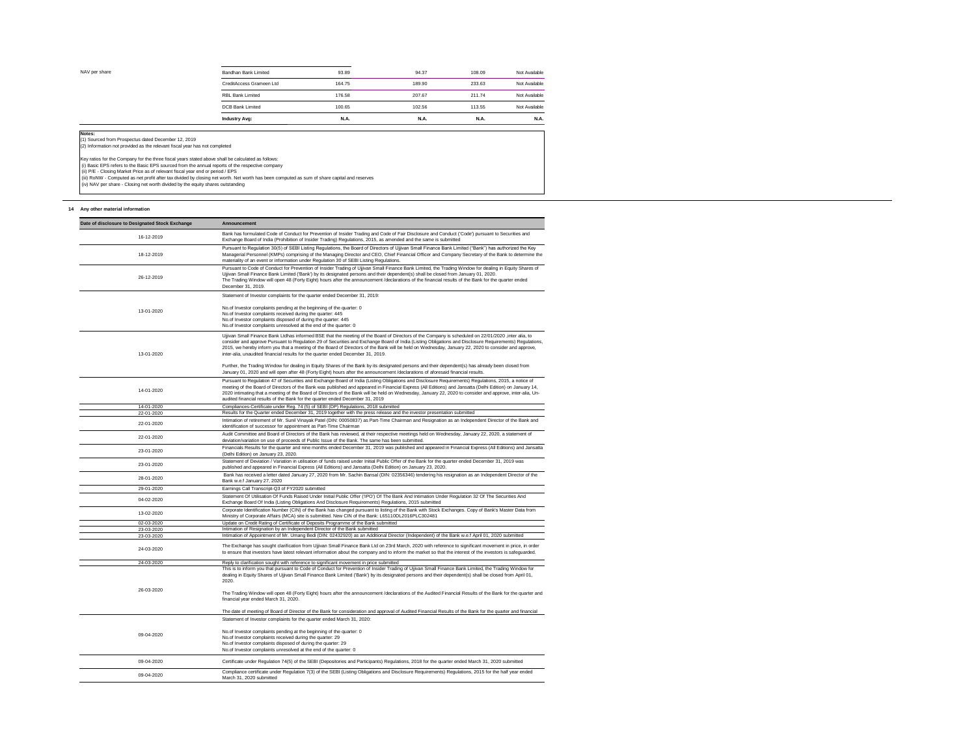| NAV per share | Bandhan Bank Limited     | 93.89       | 94.37       | 108.09      | Not Available |
|---------------|--------------------------|-------------|-------------|-------------|---------------|
|               | CreditAccess Grameen Ltd | 164.75      | 189.90      | 233.63      | Not Available |
|               | <b>RBL Bank Limited</b>  | 176.58      | 207.67      | 211.74      | Not Available |
|               | <b>DCB Bank Limited</b>  | 100.65      | 102.56      | 113.55      | Not Available |
|               | <b>Industry Avg:</b>     | <b>N.A.</b> | <b>N.A.</b> | <b>N.A.</b> | <b>N.A.</b>   |
| Notes:        |                          |             |             |             |               |
|               |                          |             |             |             |               |

(1) Sourced from Prospectus dated December 12, 2019<br>(2) Information not provided as the relevant fiscal year has not completed

Key ratios for the Company for the three fiscal years stated above shall be calculated as follows:<br>(i) Basic EPS refers to the Basic EPS sourced from the annual reports of the respective company<br>(ii) P/E - Closing Market P

(iii) RoNW - Computed as net profit after tax divided by closing net worth. Net worth has been computed as sum of share capital and reserves

(iv) NAV per share - Closing net worth divided by the equity shares outstanding

### 14 Any other material information

| Date of disclosure to Designated Stock Exchange | <b>Announcement</b>                                                                                                                                                                                                                                                                                                                                                                                                                                                                                                                                            |
|-------------------------------------------------|----------------------------------------------------------------------------------------------------------------------------------------------------------------------------------------------------------------------------------------------------------------------------------------------------------------------------------------------------------------------------------------------------------------------------------------------------------------------------------------------------------------------------------------------------------------|
| 16-12-2019                                      | Bank has formulated Code of Conduct for Prevention of Insider Trading and Code of Fair Disclosure and Conduct ('Code') pursuant to Securities and<br>Exchange Board of India (Prohibition of Insider Trading) Regulations, 2015, as amended and the same is submitted                                                                                                                                                                                                                                                                                          |
| 18-12-2019                                      | Pursuant to Regulation 30(5) of SEBI Listing Regulations, the Board of Directors of Ujjivan Small Finance Bank Limited ("Bank") has authorized the Key<br>Managerial Personnel (KMPs) comprising of the Managing Director and CEO, Chief Financial Officer and Company Secretary of the Bank to determine the<br>materiality of an event or information under Regulation 30 of SEBI Listing Regulations.                                                                                                                                                       |
| 26-12-2019                                      | Pursuant to Code of Conduct for Prevention of Insider Trading of Ujjivan Small Finance Bank Limited, the Trading Window for dealing in Equity Shares of<br>Ujjivan Small Finance Bank Limited ('Bank') by its designated persons and their dependent(s) shall be closed from January 01, 2020.<br>The Trading Window will open 48 (Forty Eight) hours after the announcement /declarations of the financial results of the Bank for the quarter ended<br>December 31, 2019.                                                                                    |
|                                                 | Statement of Investor complaints for the quarter ended December 31, 2019:                                                                                                                                                                                                                                                                                                                                                                                                                                                                                      |
| 13-01-2020                                      | No.of Investor complaints pending at the beginning of the quarter: 0<br>No.of Investor complaints received during the quarter: 445<br>No.of Investor complaints disposed of during the quarter: 445<br>No.of Investor complaints unresolved at the end of the quarter: 0                                                                                                                                                                                                                                                                                       |
| 13-01-2020                                      | Ujjivan Small Finance Bank Ltdhas informed BSE that the meeting of the Board of Directors of the Company is scheduled on 22/01/2020, inter alia, to<br>consider and approve Pursuant to Regulation 29 of Securities and Exchange Board of India (Listing Obligations and Disclosure Requirements) Regulations,<br>2015, we hereby inform you that a meeting of the Board of Directors of the Bank will be held on Wednesday, January 22, 2020 to consider and approve,<br>inter-alia, unaudited financial results for the quarter ended December 31, 2019.     |
|                                                 | Further, the Trading Window for dealing in Equity Shares of the Bank by its designated persons and their dependent(s) has already been closed from<br>January 01, 2020 and will open after 48 (Forty Eight) hours after the announcement /declarations of aforesaid financial results.                                                                                                                                                                                                                                                                         |
| 14-01-2020                                      | Pursuant to Regulation 47 of Securities and Exchange Board of India (Listing Obligations and Disclosure Requirements) Regulations, 2015, a notice of<br>meeting of the Board of Directors of the Bank was published and appeared in Financial Express (All Editions) and Jansatta (Delhi Edition) on January 14,<br>2020 intimating that a meeting of the Board of Directors of the Bank will be held on Wednesday, January 22, 2020 to consider and approve, inter-alia, Un-<br>audited financial results of the Bank for the quarter ended December 31, 2019 |
| 14-01-2020                                      | Compliances-Certificate under Reg. 74 (5) of SEBI (DP) Regulations, 2018 submitted                                                                                                                                                                                                                                                                                                                                                                                                                                                                             |
| 22-01-2020                                      | Results for the Quarter ended December 31, 2019 together with the press release and the investor presentation submitted                                                                                                                                                                                                                                                                                                                                                                                                                                        |
| 22-01-2020                                      | Intimation of retirement of Mr. Sunil Vinayak Patel (DIN: 00050837) as Part-Time Chairman and Resignation as an Independent Director of the Bank and<br>identification of successor for appointment as Part-Time Chairman                                                                                                                                                                                                                                                                                                                                      |
| 22-01-2020                                      | Audit Committee and Board of Directors of the Bank has reviewed, at their respective meetings held on Wednesday, January 22, 2020, a statement of<br>deviation/variation on use of proceeds of Public Issue of the Bank. The same has been submitted.                                                                                                                                                                                                                                                                                                          |
| 23-01-2020                                      | Financials Results for the quarter and nine months ended December 31, 2019 was published and appeared in Financial Express (All Editions) and Jansatta<br>(Delhi Edition) on January 23, 2020.                                                                                                                                                                                                                                                                                                                                                                 |
| 23-01-2020                                      | Statement of Deviation / Variation in utilisation of funds raised under Initial Public Offer of the Bank for the quarter ended December 31, 2019 was<br>published and appeared in Financial Express (All Editions) and Jansatta (Delhi Edition) on January 23, 2020.                                                                                                                                                                                                                                                                                           |
| 28-01-2020                                      | Bank has received a letter dated January 27, 2020 from Mr. Sachin Bansal (DIN: 02356346) tendering his resignation as an Independent Director of the<br>Bank w.e.f January 27, 2020                                                                                                                                                                                                                                                                                                                                                                            |
| 29-01-2020                                      | Earnings Call Transcript-Q3 of FY2020 submitted                                                                                                                                                                                                                                                                                                                                                                                                                                                                                                                |
| 04-02-2020                                      | Statement Of Utilisation Of Funds Raised Under Initial Public Offer ('IPO') Of The Bank And Intimation Under Regulation 32 Of The Securities And<br>Exchange Board Of India (Listing Obligations And Disclosure Requirements) Regulations, 2015 submitted                                                                                                                                                                                                                                                                                                      |
| 13-02-2020                                      | Corporate Identification Number (CIN) of the Bank has changed pursuant to listing of the Bank with Stock Exchanges. Copy of Bank's Master Data from<br>Ministry of Corporate Affairs (MCA) site is submitted. New CIN of the Bank: L65110DL2016PLC302481                                                                                                                                                                                                                                                                                                       |
| 02-03-2020<br>23-03-2020                        | Update on Credit Rating of Certificate of Deposits Programme of the Bank submitted<br>Intimation of Resignation by an Independent Director of the Bank submitted                                                                                                                                                                                                                                                                                                                                                                                               |
| 23-03-2020                                      | Intimation of Appointment of Mr. Umang Bedi (DIN: 02432920) as an Additional Director (Independent) of the Bank w.e.f April 01, 2020 submitted                                                                                                                                                                                                                                                                                                                                                                                                                 |
| 24-03-2020                                      | The Exchange has sought clarification from Ujjivan Small Finance Bank Ltd on 23rd March, 2020 with reference to significant movement in price, in order<br>to ensure that investors have latest relevant information about the company and to inform the market so that the interest of the investors is safeguarded.                                                                                                                                                                                                                                          |
| 24-03-2020                                      | Reply to clarification sought with reference to significant movement in price submitted                                                                                                                                                                                                                                                                                                                                                                                                                                                                        |
| 26-03-2020                                      | This is to inform you that pursuant to Code of Conduct for Prevention of Insider Trading of Ujjivan Small Finance Bank Limited, the Trading Window for<br>dealing in Equity Shares of Ujjivan Small Finance Bank Limited ('Bank') by its designated persons and their dependent(s) shall be closed from April 01,<br>2020.                                                                                                                                                                                                                                     |
|                                                 | The Trading Window will open 48 (Forty Eight) hours after the announcement /declarations of the Audited Financial Results of the Bank for the quarter and<br>financial year ended March 31, 2020.                                                                                                                                                                                                                                                                                                                                                              |
|                                                 | The date of meeting of Board of Director of the Bank for consideration and approval of Audited Financial Results of the Bank for the quarter and financial                                                                                                                                                                                                                                                                                                                                                                                                     |
|                                                 | Statement of Investor complaints for the quarter ended March 31, 2020:                                                                                                                                                                                                                                                                                                                                                                                                                                                                                         |
| 09-04-2020                                      | No.of Investor complaints pending at the beginning of the quarter: 0<br>No.of Investor complaints received during the quarter: 29<br>No.of Investor complaints disposed of during the quarter: 29<br>No.of Investor complaints unresolved at the end of the quarter: 0                                                                                                                                                                                                                                                                                         |
| 09-04-2020                                      | Certificate under Regulation 74(5) of the SEBI (Depositories and Participants) Regulations, 2018 for the quarter ended March 31, 2020 submitted                                                                                                                                                                                                                                                                                                                                                                                                                |
| 09-04-2020                                      | Compliance certificate under Regulation 7(3) of the SEBI (Listing Obligations and Disclosure Requirements) Regulations, 2015 for the half year ended<br>March 31, 2020 submitted                                                                                                                                                                                                                                                                                                                                                                               |

 $\overline{\phantom{0}}$  $\begin{array}{c}\n\hline\n\text{ded}\n\end{array}$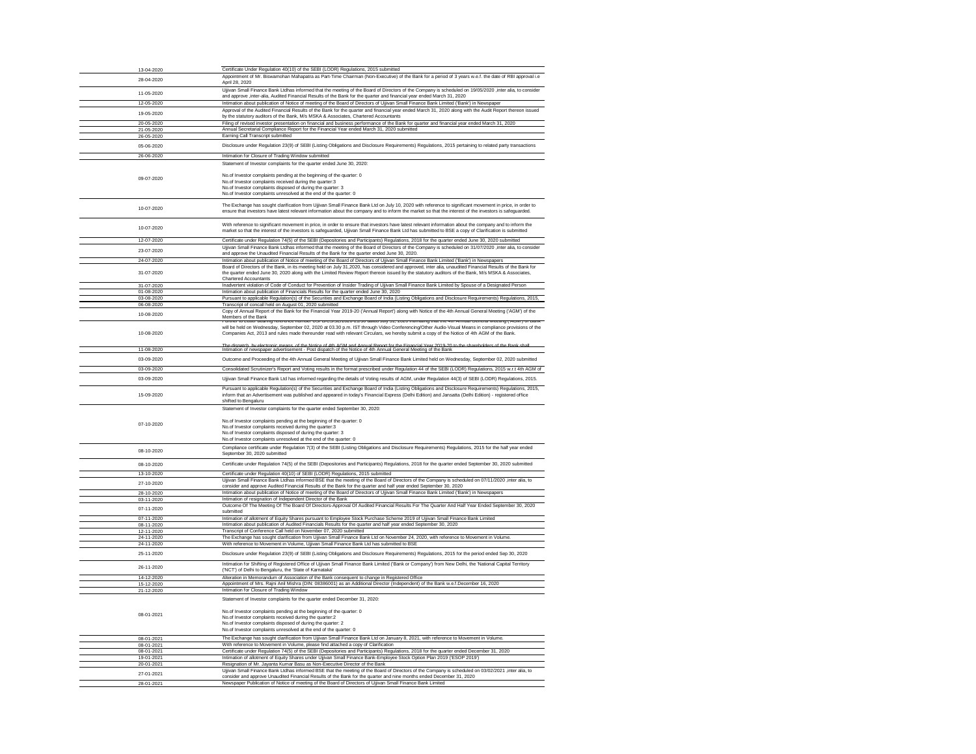| 13-04-2020               |                                                                                                                                                                                                                                                                                                                    |
|--------------------------|--------------------------------------------------------------------------------------------------------------------------------------------------------------------------------------------------------------------------------------------------------------------------------------------------------------------|
|                          | Certificate Under Regulation 40(10) of the SEBI (LODR) Regulations, 2015 submitted<br>Appointment of Mr. Biswamohan Mahapatra as Part-Time Chairman (Non-Executive) of the Bank for a period of 3 years w.e.f. the date of RBI approval i.e                                                                        |
| 28-04-2020               | April 28, 2020                                                                                                                                                                                                                                                                                                     |
|                          | Ujjivan Small Finance Bank Ltdhas informed that the meeting of the Board of Directors of the Company is scheduled on 19/05/2020, inter alia, to consider                                                                                                                                                           |
| 11-05-2020               | and approve , inter-alia, Audited Financial Results of the Bank for the quarter and financial year ended March 31, 2020                                                                                                                                                                                            |
| 12-05-2020               | Intimation about publication of Notice of meeting of the Board of Directors of Ujjivan Small Finance Bank Limited ('Bank') in Newspaper                                                                                                                                                                            |
| 19-05-2020               | Approval of the Audited Financial Results of the Bank for the quarter and financial year ended March 31, 2020 along with the Audit Report thereon issued                                                                                                                                                           |
| 20-05-2020               | by the statutory auditors of the Bank, M/s MSKA & Associates, Chartered Accountants<br>Filing of revised investor presentation on financial and business performance of the Bank for quarter and financial year ended March 31, 2020                                                                               |
| 21-05-2020               | Annual Secretarial Compliance Report for the Financial Year ended March 31, 2020 submitted                                                                                                                                                                                                                         |
| 26-05-2020               | Earning Call Transcript submitted                                                                                                                                                                                                                                                                                  |
| 05-06-2020               | Disclosure under Regulation 23(9) of SEBI (Listing Obligations and Disclosure Requirements) Regulations, 2015 pertaining to related party transactions                                                                                                                                                             |
| 26-06-2020               | Intimation for Closure of Trading Window submitted                                                                                                                                                                                                                                                                 |
|                          | Statement of Investor complaints for the quarter ended June 30, 2020:                                                                                                                                                                                                                                              |
|                          |                                                                                                                                                                                                                                                                                                                    |
| 09-07-2020               | No.of Investor complaints pending at the beginning of the quarter: 0<br>No.of Investor complaints received during the quarter:3                                                                                                                                                                                    |
|                          | No.of Investor complaints disposed of during the quarter: 3<br>No.of Investor complaints unresolved at the end of the quarter: 0                                                                                                                                                                                   |
|                          |                                                                                                                                                                                                                                                                                                                    |
| 10-07-2020               | The Exchange has sought clarification from Ujjivan Small Finance Bank Ltd on July 10, 2020 with reference to significant movement in price, in order to<br>ensure that investors have latest relevant information about the company and to inform the market so that the interest of the investors is safeguarded. |
|                          |                                                                                                                                                                                                                                                                                                                    |
| 10-07-2020               | With reference to significant movement in price, in order to ensure that investors have latest relevant information about the company and to inform the                                                                                                                                                            |
|                          | market so that the interest of the investors is safeguarded, Ujjivan Small Finance Bank Ltd has submitted to BSE a copy of Clarification is submitted                                                                                                                                                              |
| 12-07-2020               | Certificate under Regulation 74(5) of the SEBI (Depositories and Participants) Regulations, 2018 for the quarter ended June 30, 2020 submitted                                                                                                                                                                     |
| 23-07-2020               | Ujjivan Small Finance Bank Ltdhas informed that the meeting of the Board of Directors of the Company is scheduled on 31/07/2020, inter alia, to consider                                                                                                                                                           |
| 24-07-2020               | and approve the Unaudited Financial Results of the Bank for the quarter ended June 30, 2020.<br>Intimation about publication of Notice of meeting of the Board of Directors of Ujjivan Small Finance Bank Limited ('Bank') in Newspapers                                                                           |
|                          | Board of Directors of the Bank, in its meeting held on July 31,2020, has considered and approved, inter alia, unaudited Financial Results of the Bank for                                                                                                                                                          |
| 31-07-2020               | the quarter ended June 30, 2020 along with the Limited Review Report thereon issued by the statutory auditors of the Bank, M/s MSKA & Associates,                                                                                                                                                                  |
| 31-07-2020               | <b>Chartered Accountants</b><br>Inadvertent violation of Code of Conduct for Prevention of Insider Trading of Ujjivan Small Finance Bank Limited by Spouse of a Designated Person                                                                                                                                  |
| 01-08-2020               | Intimation about publication of Financials Results for the quarter ended June 30, 2020                                                                                                                                                                                                                             |
| 03-08-2020               | Pursuant to applicable Regulation(s) of the Securities and Exchange Board of India (Listing Obligations and Disclosure Requirements) Regulations, 2015,                                                                                                                                                            |
| 06-08-2020               | Transcript of concall held on August 01, 2020 submitted                                                                                                                                                                                                                                                            |
| 10-08-2020               | Copy of Annual Report of the Bank for the Financial Year 2019-20 ('Annual Report') along with Notice of the 4th Annual General Meeting ('AGM') of the<br>Members of the Bank                                                                                                                                       |
|                          | <u>Further to Letter beamig reference number OSFB/CS/SE/Z020-Z1/30 dated July 31, 2020 intimating that the 4th Annual General Meeting (AGM) or Bank-</u>                                                                                                                                                           |
| 10-08-2020               | will be held on Wednesday, September 02, 2020 at 03.30 p.m. IST through Video Conferencing/Other Audio-Visual Means in compliance provisions of the<br>Companies Act, 2013 and rules made thereunder read with relevant Circulars, we hereby submit a copy of the Notice of 4th AGM of the Bank.                   |
|                          |                                                                                                                                                                                                                                                                                                                    |
| 11-08-2020               | The dispatch by electronic means of the Notice of 4th AGM and Annual Report for the Einancial Year 2019-20 to the shareholders of the Bank shall<br>Intimation of newspaper advertisement - Post dispatch of the Notice of 4th An                                                                                  |
| 03-09-2020               | Outcome and Proceeding of the 4th Annual General Meeting of Ujjivan Small Finance Bank Limited held on Wednesday, September 02, 2020 submitted                                                                                                                                                                     |
|                          |                                                                                                                                                                                                                                                                                                                    |
| 03-09-2020               | Consolidated Scrutinizer's Report and Voting results in the format prescribed under Regulation 44 of the SEBI (LODR) Regulations, 2015 w.r.t 4th AGM of                                                                                                                                                            |
| 03-09-2020               | Ujjivan Small Finance Bank Ltd has informed regarding the details of Voting results of AGM, under Regulation 44(3) of SEBI (LODR) Regulations, 2015.                                                                                                                                                               |
|                          | Pursuant to applicable Regulation(s) of the Securities and Exchange Board of India (Listing Obligations and Disclosure Requirements) Regulations, 2015,                                                                                                                                                            |
| 15-09-2020               | inform that an Advertisement was published and appeared in today's Financial Express (Delhi Edition) and Jansatta (Delhi Edition) - registered office<br>shifted to Bengaluru                                                                                                                                      |
|                          | Statement of Investor complaints for the quarter ended September 30, 2020:                                                                                                                                                                                                                                         |
|                          |                                                                                                                                                                                                                                                                                                                    |
|                          |                                                                                                                                                                                                                                                                                                                    |
| 07-10-2020               | No.of Investor complaints pending at the beginning of the quarter: 0                                                                                                                                                                                                                                               |
|                          | No.of Investor complaints received during the quarter:3                                                                                                                                                                                                                                                            |
|                          | No.of Investor complaints disposed of during the quarter: 3<br>No.of Investor complaints unresolved at the end of the quarter: 0                                                                                                                                                                                   |
|                          | Compliance certificate under Regulation 7(3) of the SEBI (Listing Obligations and Disclosure Requirements) Regulations, 2015 for the half year ended                                                                                                                                                               |
| 08-10-2020               | September 30, 2020 submitted                                                                                                                                                                                                                                                                                       |
| 08-10-2020               | Certificate under Regulation 74(5) of the SEBI (Depositories and Participants) Regulations, 2018 for the quarter ended September 30, 2020 submitted                                                                                                                                                                |
| 13-10-2020               | Certificate under Regulation 40(10) of SEBI (LODR) Regulations, 2015 submitted                                                                                                                                                                                                                                     |
|                          | Ujjivan Small Finance Bank Ltdhas informed BSE that the meeting of the Board of Directors of the Company is scheduled on 07/11/2020 , inter alia, to                                                                                                                                                               |
| 27-10-2020               | consider and approve Audited Financial Results of the Bank for the quarter and half year ended September 30, 2020                                                                                                                                                                                                  |
| 28-10-2020               | Intimation about publication of Notice of meeting of the Board of Directors of Ujjivan Small Finance Bank Limited ('Bank') in Newspapers<br>Intimation of resignation of Independent Director of the Bank                                                                                                          |
| 03-11-2020               | Outcome Of The Meeting Of The Board Of Directors-Approval Of Audited Financial Results For The Quarter And Half Year Ended September 30, 2020                                                                                                                                                                      |
| 07-11-2020               | submitted                                                                                                                                                                                                                                                                                                          |
| 07-11-2020<br>08-11-2020 | Intimation of allotment of Equity Shares pursuant to Employee Stock Purchase Scheme 2019 of Ujjivan Small Finance Bank Limited                                                                                                                                                                                     |
| 12-11-2020               | Intimation about publication of Audited Financials Results for the quarter and half year ended September 30, 2020<br>Transcript of Conference Call held on November 07, 2020 submitted                                                                                                                             |
| 24-11-2020               | The Exchange has sought clarification from Ujjivan Small Finance Bank Ltd on November 24, 2020, with reference to Movement in Volume.                                                                                                                                                                              |
| 24-11-2020               | With reference to Movement in Volume, Ujjivan Small Finance Bank Ltd has submitted to BSE                                                                                                                                                                                                                          |
| 25-11-2020               | Disclosure under Regulation 23(9) of SEBI (Listing Obligations and Disclosure Requirements) Regulations, 2015 for the period ended Sep 30, 2020                                                                                                                                                                    |
|                          | Intimation for Shifting of Registered Office of Ujjivan Small Finance Bank Limited ('Bank or Company') from New Delhi, the 'National Capital Territory                                                                                                                                                             |
| 26-11-2020               | ('NCT') of Delhi to Bengaluru, the 'State of Karnataka'                                                                                                                                                                                                                                                            |
| 14-12-2020               | Alteration in Memorandum of Association of the Bank consequent to change in Registered Office                                                                                                                                                                                                                      |
| 15-12-2020<br>21-12-2020 | Appointment of Mrs. Rajni Anil Mishra (DIN: 08386001) as an Additional Director (Independent) of the Bank w.e.f.December 16, 2020<br>Intimation for Closure of Trading Window                                                                                                                                      |
|                          | Statement of Investor complaints for the quarter ended December 31, 2020:                                                                                                                                                                                                                                          |
|                          |                                                                                                                                                                                                                                                                                                                    |
| 08-01-2021               | No.of Investor complaints pending at the beginning of the quarter: 0                                                                                                                                                                                                                                               |
|                          | No.of Investor complaints received during the quarter:2<br>No.of Investor complaints disposed of during the quarter: 2                                                                                                                                                                                             |
|                          | No.of Investor complaints unresolved at the end of the quarter: 0                                                                                                                                                                                                                                                  |
| 08-01-2021               | The Exchange has sought clarification from Ujjivan Small Finance Bank Ltd on January 8, 2021, with reference to Movement in Volume.                                                                                                                                                                                |
| 08-01-2021               | With reference to Movement in Volume, please find attached a copy of Clarification                                                                                                                                                                                                                                 |
| 08-01-2021               | Certificate under Regulation 74(5) of the SEBI (Depositories and Participants) Regulations, 2018 for the quarter ended December 31, 2020                                                                                                                                                                           |
| 19-01-2021<br>20-01-2021 | Intimation of allotment of Equity Shares under Ujjivan Small Finance Bank-Employee Stock Option Plan 2019 ('ESOP 2019')<br>Resignation of Mr. Jayanta Kumar Basu as Non-Executive Director of the Bank                                                                                                             |
|                          | Ujjivan Small Finance Bank Ltdhas informed BSE that the meeting of the Board of Directors of the Company is scheduled on 03/02/2021 , inter alia, to                                                                                                                                                               |
| 27-01-2021<br>28-01-2021 | consider and approve Unaudited Financial Results of the Bank for the quarter and nine months ended December 31, 2020<br>Newspaper Publication of Notice of meeting of the Board of Directors of Ujjivan Small Finance Bank Limited                                                                                 |

 $\frac{1}{\sqrt{2\pi}}\int_{0}^{\pi}\frac{1}{\sqrt{2\pi}}\left( \frac{1}{\sqrt{2\pi}}\right) \frac{d\mu}{2}d\mu d\nu$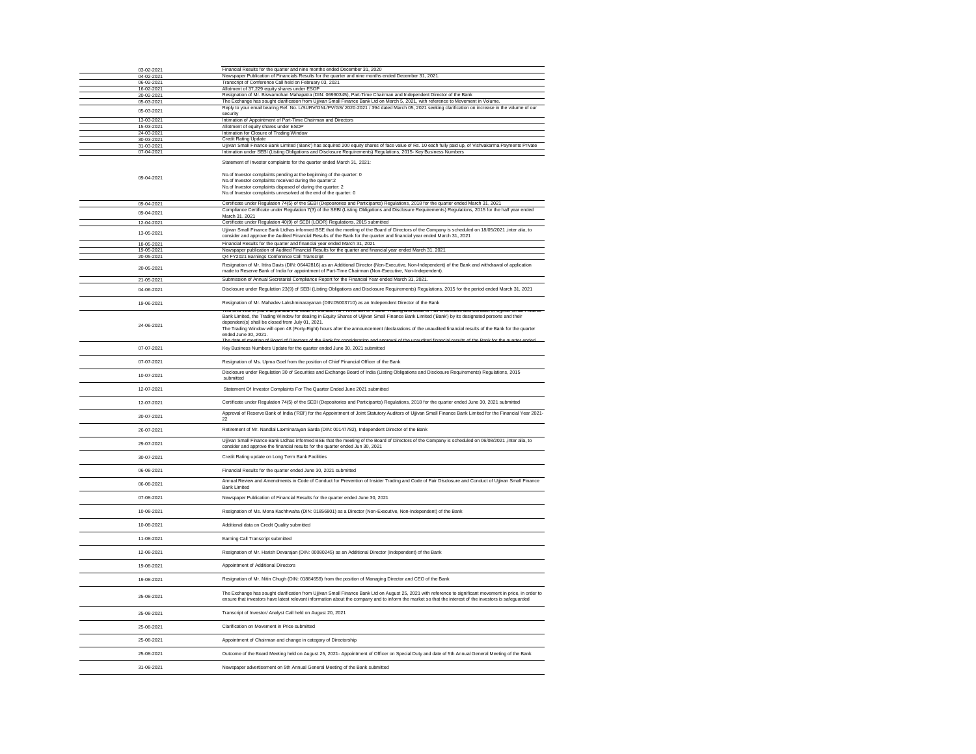| 03-02-2021<br>04-02-2021 | Financial Results for the quarter and nine months ended December 31, 2020<br>Newspaper Publication of Financials Results for the quarter and nine months ended December 31, 2021.                                                                                                                                                                                                                                                                                                                                                                |
|--------------------------|--------------------------------------------------------------------------------------------------------------------------------------------------------------------------------------------------------------------------------------------------------------------------------------------------------------------------------------------------------------------------------------------------------------------------------------------------------------------------------------------------------------------------------------------------|
| 06-02-2021               | Transcript of Conference Call held on February 03, 2021                                                                                                                                                                                                                                                                                                                                                                                                                                                                                          |
| 16-02-2021<br>20-02-2021 | Allotment of 37,229 equity shares under ESOP<br>Resignation of Mr. Biswamohan Mahapatra (DIN: 06990345), Part-Time Chairman and Independent Director of the Bank                                                                                                                                                                                                                                                                                                                                                                                 |
| 05-03-2021               | The Exchange has sought clarification from Ujjivan Small Finance Bank Ltd on March 5, 2021, with reference to Movement in Volume.<br>Reply to your email bearing Ref. No. L/SURV/ONL/PV/GS/ 2020-2021 / 394 dated March 05, 2021 seeking clarification on increase in the volume of o                                                                                                                                                                                                                                                            |
| 05-03-2021               | security                                                                                                                                                                                                                                                                                                                                                                                                                                                                                                                                         |
| 13-03-2021<br>15-03-2021 | Intimation of Appointment of Part-Time Chairman and Directors<br>Allotment of equity shares under ESOP                                                                                                                                                                                                                                                                                                                                                                                                                                           |
| 24-03-2021               | Intimation for Closure of Trading Window                                                                                                                                                                                                                                                                                                                                                                                                                                                                                                         |
| 30-03-2021<br>31-03-2021 | <b>Credit Rating Update</b><br>Ujjivan Small Finance Bank Limited ('Bank') has acquired 200 equity shares of face value of Rs. 10 each fully paid up, of Vishvakarma Payments Priv                                                                                                                                                                                                                                                                                                                                                               |
| 07-04-2021               | Intimation under SEBI (Listing Obligations and Disclosure Requirements) Regulations, 2015- Key Business Numbers                                                                                                                                                                                                                                                                                                                                                                                                                                  |
| 09-04-2021               | Statement of Investor complaints for the quarter ended March 31, 2021:<br>No.of Investor complaints pending at the beginning of the quarter: 0<br>No.of Investor complaints received during the quarter:2<br>No.of Investor complaints disposed of during the quarter: 2<br>No.of Investor complaints unresolved at the end of the quarter: 0                                                                                                                                                                                                    |
| 09-04-2021               | Certificate under Regulation 74(5) of the SEBI (Depositories and Participants) Regulations, 2018 for the quarter ended March 31, 2021<br>Compliance Certificate under Regulation 7(3) of the SEBI (Listing Obligations and Disclosure Requirements) Regulations, 2015 for the half year ende                                                                                                                                                                                                                                                     |
| 09-04-2021               | March 31, 2021                                                                                                                                                                                                                                                                                                                                                                                                                                                                                                                                   |
| 12-04-2021               | Certificate under Regulation 40(9) of SEBI (LODR) Regulations, 2015 submitted<br>Ujjivan Small Finance Bank Ltdhas informed BSE that the meeting of the Board of Directors of the Company is scheduled on 18/05/2021 ,inter alia, to                                                                                                                                                                                                                                                                                                             |
| 13-05-2021               | consider and approve the Audited Financial Results of the Bank for the quarter and financial year ended March 31, 2021                                                                                                                                                                                                                                                                                                                                                                                                                           |
| 18-05-2021<br>19-05-2021 | Financial Results for the quarter and financial year ended March 31, 2021<br>Newspaper publication of Audited Financial Results for the quarter and financial year ended March 31, 2021                                                                                                                                                                                                                                                                                                                                                          |
| 20-05-2021               | Q4 FY2021 Earnings Conference Call Transcript                                                                                                                                                                                                                                                                                                                                                                                                                                                                                                    |
| 20-05-2021<br>21-05-2021 | Resignation of Mr. Ittira Davis (DIN: 06442816) as an Additional Director (Non-Executive, Non-Independent) of the Bank and withdrawal of application<br>made to Reserve Bank of India for appointment of Part-Time Chairman (Non-Executive, Non-Independent).<br>Submission of Annual Secretarial Compliance Report for the Financial Year ended March 31, 2021.                                                                                                                                                                                 |
| 04-06-2021               | Disclosure under Regulation 23(9) of SEBI (Listing Obligations and Disclosure Requirements) Regulations, 2015 for the period ended March 31, 2021                                                                                                                                                                                                                                                                                                                                                                                                |
| 19-06-2021               | Resignation of Mr. Mahadev Lakshminarayanan (DIN:05003710) as an Independent Director of the Bank<br><u>rms is to imomi you triat pursuant to code or conduct for Prevention or msider Trading and code or Pair Disclosure and conduct or Ojjivan Small Pr</u>                                                                                                                                                                                                                                                                                   |
| 24-06-2021               | Bank Limited, the Trading Window for dealing in Equity Shares of Ujjivan Small Finance Bank Limited ('Bank') by its designated persons and their<br>dependent(s) shall be closed from July 01, 2021.<br>The Trading Window will open 48 (Forty-Eight) hours after the announcement /declarations of the unaudited financial results of the Bank for the quart<br>ended June 30, 2021.<br>The date of meeting of Roard of Directors of the Rank for consideration and approval of the unaudited financial results of the Rank for the quarter end |
| 07-07-2021               | Key Business Numbers Update for the quarter ended June 30, 2021 submitted                                                                                                                                                                                                                                                                                                                                                                                                                                                                        |
| 07-07-2021               | Resignation of Ms. Upma Goel from the position of Chief Financial Officer of the Bank                                                                                                                                                                                                                                                                                                                                                                                                                                                            |
| 10-07-2021               | Disclosure under Regulation 30 of Securities and Exchange Board of India (Listing Obligations and Disclosure Requirements) Regulations, 2015<br>submitted                                                                                                                                                                                                                                                                                                                                                                                        |
| 12-07-2021               | Statement Of Investor Complaints For The Quarter Ended June 2021 submitted                                                                                                                                                                                                                                                                                                                                                                                                                                                                       |
| 12-07-2021               | Certificate under Regulation 74(5) of the SEBI (Depositories and Participants) Regulations, 2018 for the quarter ended June 30, 2021 submitted                                                                                                                                                                                                                                                                                                                                                                                                   |
| 20-07-2021               | Approval of Reserve Bank of India ('RBI') for the Appointment of Joint Statutory Auditors of Ujjivan Small Finance Bank Limited for the Financial Year<br>22                                                                                                                                                                                                                                                                                                                                                                                     |
| 26-07-2021               | Retirement of Mr. Nandlal Laxminarayan Sarda (DIN: 00147782), Independent Director of the Bank                                                                                                                                                                                                                                                                                                                                                                                                                                                   |
| 29-07-2021               | Ujjivan Small Finance Bank Ltdhas informed BSE that the meeting of the Board of Directors of the Company is scheduled on 06/08/2021 ,inter alia, to<br>consider and approve the financial results for the quarter ended Jun 30, 2021                                                                                                                                                                                                                                                                                                             |
| 30-07-2021               | Credit Rating update on Long Term Bank Facilities                                                                                                                                                                                                                                                                                                                                                                                                                                                                                                |
| 06-08-2021               | Financial Results for the quarter ended June 30, 2021 submitted                                                                                                                                                                                                                                                                                                                                                                                                                                                                                  |
| 06-08-2021               | Annual Review and Amendments in Code of Conduct for Prevention of Insider Trading and Code of Fair Disclosure and Conduct of Ujjivan Small Fina<br><b>Bank Limited</b>                                                                                                                                                                                                                                                                                                                                                                           |
| 07-08-2021               | Newspaper Publication of Financial Results for the quarter ended June 30, 2021                                                                                                                                                                                                                                                                                                                                                                                                                                                                   |
| 10-08-2021               | Resignation of Ms. Mona Kachhwaha (DIN: 01856801) as a Director (Non-Executive, Non-Independent) of the Bank                                                                                                                                                                                                                                                                                                                                                                                                                                     |
| 10-08-2021               | Additional data on Credit Quality submitted                                                                                                                                                                                                                                                                                                                                                                                                                                                                                                      |
| 11-08-2021               | Earning Call Transcript submitted                                                                                                                                                                                                                                                                                                                                                                                                                                                                                                                |
| 12-08-2021               | Resignation of Mr. Harish Devarajan (DIN: 00080245) as an Additional Director (Independent) of the Bank                                                                                                                                                                                                                                                                                                                                                                                                                                          |
| 19-08-2021               | Appointment of Additional Directors                                                                                                                                                                                                                                                                                                                                                                                                                                                                                                              |
| 19-08-2021               | Resignation of Mr. Nitin Chugh (DIN: 01884659) from the position of Managing Director and CEO of the Bank                                                                                                                                                                                                                                                                                                                                                                                                                                        |
| 25-08-2021               | The Exchange has sought clarification from Ujjivan Small Finance Bank Ltd on August 25, 2021 with reference to significant movement in price, in ord<br>ensure that investors have latest relevant information about the company and to inform the market so that the interest of the investors is safeguarded                                                                                                                                                                                                                                   |
| 25-08-2021               | Transcript of Investor/ Analyst Call held on August 20, 2021                                                                                                                                                                                                                                                                                                                                                                                                                                                                                     |
| 25-08-2021               | Clarification on Movement in Price submitted                                                                                                                                                                                                                                                                                                                                                                                                                                                                                                     |
| 25-08-2021               | Appointment of Chairman and change in category of Directorship                                                                                                                                                                                                                                                                                                                                                                                                                                                                                   |
| 25-08-2021               | Outcome of the Board Meeting held on August 25, 2021- Appointment of Officer on Special Duty and date of 5th Annual General Meeting of the Bank                                                                                                                                                                                                                                                                                                                                                                                                  |
| 31-08-2021               | Newspaper advertisement on 5th Annual General Meeting of the Bank submitted                                                                                                                                                                                                                                                                                                                                                                                                                                                                      |

inance – **e**  $\overline{\phantom{aa}}$  $\overline{\phantom{0}}$  $\overline{\phantom{0}}$  $\overline{\phantom{0}}$  $\overline{\phantom{0}}$  $\frac{1}{2021}$  $\overline{10}$  $\frac{1}{\sqrt{2\pi}}\int_{0}^{\pi}\frac{1}{\sqrt{2\pi}}\left( \frac{1}{\sqrt{2\pi}}\right) \frac{d\mu}{2}d\mu d\nu$  $\begin{array}{c}\n\hline\n\hline\n\hline\n\hline\n\hline\n\end{array}$  $\overline{\phantom{a}}$  $\overline{\phantom{a}}$ order to  $\overbrace{\hspace{27mm}}$  $\frac{1}{\sqrt{2\pi}}\left( \frac{1}{\sqrt{2\pi}}\right) ^{2}$  $\frac{1}{\sqrt{2\pi}}\left( \frac{1}{\sqrt{2\pi}}\right) ^{2}$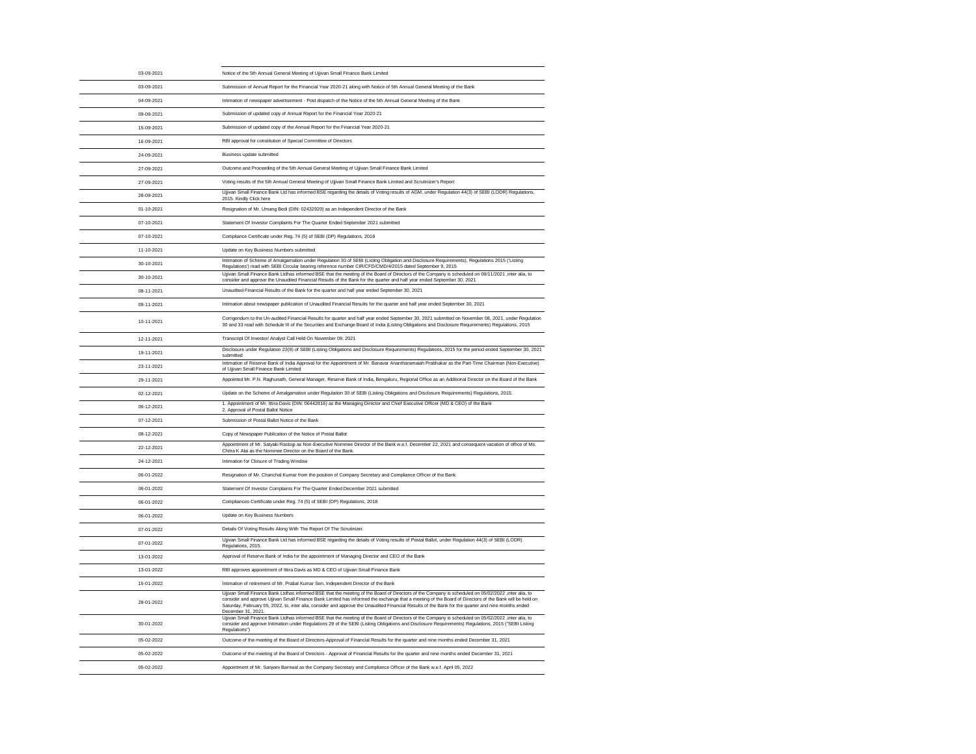| 03-09-2021 | Notice of the 5th Annual General Meeting of Ujjivan Small Finance Bank Limited                                                                                                                                                                                                                                                                                                                                                                                                              |
|------------|---------------------------------------------------------------------------------------------------------------------------------------------------------------------------------------------------------------------------------------------------------------------------------------------------------------------------------------------------------------------------------------------------------------------------------------------------------------------------------------------|
| 03-09-2021 | Submission of Annual Report for the Financial Year 2020-21 along with Notice of 5th Annual General Meeting of the Bank                                                                                                                                                                                                                                                                                                                                                                      |
| 04-09-2021 | Intimation of newspaper advertisement - Post dispatch of the Notice of the 5th Annual General Meeting of the Bank                                                                                                                                                                                                                                                                                                                                                                           |
| 09-09-2021 | Submission of updated copy of Annual Report for the Financial Year 2020-21                                                                                                                                                                                                                                                                                                                                                                                                                  |
| 15-09-2021 | Submission of updated copy of the Annual Report for the Financial Year 2020-21                                                                                                                                                                                                                                                                                                                                                                                                              |
| 16-09-2021 | RBI approval for constitution of Special Committee of Directors                                                                                                                                                                                                                                                                                                                                                                                                                             |
| 24-09-2021 | Business update submitted                                                                                                                                                                                                                                                                                                                                                                                                                                                                   |
| 27-09-2021 | Outcome and Proceeding of the 5th Annual General Meeting of Ujjivan Small Finance Bank Limited                                                                                                                                                                                                                                                                                                                                                                                              |
| 27-09-2021 | Voting results of the 5th Annual General Meeting of Ujjivan Small Finance Bank Limited and Scrutinizer's Report                                                                                                                                                                                                                                                                                                                                                                             |
| 28-09-2021 | Ujjivan Small Finance Bank Ltd has informed BSE regarding the details of Voting results of AGM, under Regulation 44(3) of SEBI (LODR) Regulations,<br>2015. Kindly Click here                                                                                                                                                                                                                                                                                                               |
| 01-10-2021 | Resignation of Mr. Umang Bedi (DIN: 02432920) as an Independent Director of the Bank                                                                                                                                                                                                                                                                                                                                                                                                        |
| 07-10-2021 | Statement Of Investor Complaints For The Quarter Ended September 2021 submitted                                                                                                                                                                                                                                                                                                                                                                                                             |
| 07-10-2021 | Compliance Certificate under Reg. 74 (5) of SEBI (DP) Regulations, 2018                                                                                                                                                                                                                                                                                                                                                                                                                     |
| 11-10-2021 | Update on Key Business Numbers submitted                                                                                                                                                                                                                                                                                                                                                                                                                                                    |
| 30-10-2021 | Intimation of Scheme of Amalgamation under Regulation 30 of SEBI (Listing Obligation and Disclosure Requirements), Regulations 2015 ('Listing<br>Regulations') read with SEBI Circular bearing reference number CIR/CFD/CMD/4/2015 dated September 9, 2015                                                                                                                                                                                                                                  |
| 30-10-2021 | Ujjivan Small Finance Bank Ltdhas informed BSE that the meeting of the Board of Directors of the Company is scheduled on 08/11/2021 , inter alia, to<br>consider and approve the Unaudited Financial Results of the Bank for the quarter and half year ended September 30, 2021                                                                                                                                                                                                             |
| 08-11-2021 | Unaudited Financial Results of the Bank for the quarter and half year ended September 30, 2021                                                                                                                                                                                                                                                                                                                                                                                              |
| 09-11-2021 | Intimation about newspaper publication of Unaudited Financial Results for the quarter and half year ended September 30, 2021                                                                                                                                                                                                                                                                                                                                                                |
| 10-11-2021 | Corrigendum to the Un-audited Financial Results for quarter and half year ended September 30, 2021 submitted on November 08, 2021, under Regulation<br>30 and 33 read with Schedule III of the Securities and Exchange Board of India (Listing Obligations and Disclosure Requirements) Regulations, 2015                                                                                                                                                                                   |
| 12-11-2021 | Transcript Of Investor/ Analyst Call Held On November 09, 2021                                                                                                                                                                                                                                                                                                                                                                                                                              |
| 19-11-2021 | Disclosure under Regulation 23(9) of SEBI (Listing Obligations and Disclosure Requirements) Regulations, 2015 for the period ended September 30, 2021<br>submitted                                                                                                                                                                                                                                                                                                                          |
| 23-11-2021 | Intimation of Reserve Bank of India Approval for the Appointment of Mr. Banavar Anantharamaiah Prabhakar as the Part-Time Chairman (Non-Executive)<br>of Ujjivan Small Finance Bank Limited                                                                                                                                                                                                                                                                                                 |
| 29-11-2021 | Appointed Mr. P.N. Raghunath, General Manager, Reserve Bank of India, Bengaluru, Regional Office as an Additional Director on the Board of the Bank                                                                                                                                                                                                                                                                                                                                         |
| 02-12-2021 | Update on the Scheme of Amalgamation under Regulation 30 of SEBI (Listing Obligations and Disclosure Requirements) Regulations, 2015.                                                                                                                                                                                                                                                                                                                                                       |
| 06-12-2021 | 1. Appointment of Mr. Ittira Davis (DIN: 06442816) as the Managing Director and Chief Executive Officer (MD & CEO) of the Bank<br>2. Approval of Postal Ballot Notice                                                                                                                                                                                                                                                                                                                       |
| 07-12-2021 | Submission of Postal Ballot Notice of the Bank                                                                                                                                                                                                                                                                                                                                                                                                                                              |
| 08-12-2021 | Copy of Newspaper Publication of the Notice of Postal Ballot                                                                                                                                                                                                                                                                                                                                                                                                                                |
| 22-12-2021 | Appointment of Mr. Satyaki Rastogi as Non-Executive Nominee Director of the Bank w.e.f. December 22, 2021 and consequent vacation of office of Ms.<br>Chitra K Alai as the Nominee Director on the Board of the Bank.                                                                                                                                                                                                                                                                       |
| 24-12-2021 | Intimation for Closure of Trading Window                                                                                                                                                                                                                                                                                                                                                                                                                                                    |
| 06-01-2022 | Resignation of Mr. Chanchal Kumar from the position of Company Secretary and Compliance Officer of the Bank                                                                                                                                                                                                                                                                                                                                                                                 |
| 06-01-2022 | Statement Of Investor Complaints For The Quarter Ended December 2021 submitted                                                                                                                                                                                                                                                                                                                                                                                                              |
| 06-01-2022 | Compliances-Certificate under Reg. 74 (5) of SEBI (DP) Regulations, 2018                                                                                                                                                                                                                                                                                                                                                                                                                    |
| 06-01-2022 | Update on Key Business Numbers                                                                                                                                                                                                                                                                                                                                                                                                                                                              |
| 07-01-2022 | Details Of Voting Results Along With The Report Of The Scrutinizer.                                                                                                                                                                                                                                                                                                                                                                                                                         |
| 07-01-2022 | Ujjivan Small Finance Bank Ltd has informed BSE regarding the details of Voting results of Postal Ballot, under Regulation 44(3) of SEBI (LODR)<br>Regulations, 2015.                                                                                                                                                                                                                                                                                                                       |
| 13-01-2022 | Approval of Reserve Bank of India for the appointment of Managing Director and CEO of the Bank                                                                                                                                                                                                                                                                                                                                                                                              |
| 13-01-2022 | RBI approves appointment of Ittira Davis as MD & CEO of Ujjivan Small Finance Bank                                                                                                                                                                                                                                                                                                                                                                                                          |
| 15-01-2022 | Intimation of retirement of Mr. Prabal Kumar Sen, Independent Director of the Bank                                                                                                                                                                                                                                                                                                                                                                                                          |
| 28-01-2022 | Ujjivan Small Finance Bank Ltdhas informed BSE that the meeting of the Board of Directors of the Company is scheduled on 05/02/2022 , inter alia, to<br>consider and approve Ujjivan Small Finance Bank Limited has informed the exchange that a meeting of the Board of Directors of the Bank will be held on<br>Saturday, February 05, 2022, to, inter alia, consider and approve the Unaudited Financial Results of the Bank for the quarter and nine months ended<br>December 31, 2021. |
| 30-01-2022 | Ujjivan Small Finance Bank Ltdhas informed BSE that the meeting of the Board of Directors of the Company is scheduled on 05/02/2022 , inter alia, to<br>consider and approve Intimation under Regulations 29 of the SEBI (Listing Obligations and Disclosure Requirements) Regulations, 2015 ("SEBI Listing<br>Regulations")                                                                                                                                                                |
| 05-02-2022 | Outcome of the meeting of the Board of Directors-Approval of Financial Results for the quarter and nine months ended December 31, 2021                                                                                                                                                                                                                                                                                                                                                      |
| 05-02-2022 | Outcome of the meeting of the Board of Directors - Approval of Financial Results for the quarter and nine months ended December 31, 2021                                                                                                                                                                                                                                                                                                                                                    |
| 05-02-2022 | Appointment of Mr. Sanjeev Barnwal as the Company Secretary and Compliance Officer of the Bank w.e.f. April 05, 2022                                                                                                                                                                                                                                                                                                                                                                        |

 $\frac{1}{\sqrt{2\pi}}\left( \frac{1}{\sqrt{2\pi}}\right) ^{2}$  $\overline{\phantom{0}}$  $\frac{1}{\sqrt{2\pi}}\left( \frac{1}{\sqrt{2\pi}}\right) ^{2}$  $\frac{1}{\sqrt{1-\frac{1}{2}}}\left( \frac{1}{\sqrt{1-\frac{1}{2}}}\right) ^{2}$  $\overline{\phantom{a}}$  $\overline{\phantom{0}}$  $\overbrace{\hspace{25mm}}$  $\frac{1}{\sqrt{2\pi}}\left( \frac{1}{\sqrt{2\pi}}\right) ^{2}$  $\frac{1}{\sqrt{2\pi}}\left( \frac{1}{\sqrt{2\pi}}\right) ^{2}$  $\qquad \qquad$  $\frac{1}{\sqrt{2}}$  $\overline{\phantom{0}}$  $\overbrace{\hspace{27mm}}$  $\overline{\phantom{0}}$  $\frac{1}{\sqrt{2\pi}}\left( \frac{1}{\sqrt{2\pi}}\right) ^{2}$  $\overline{\phantom{0}}$  $\frac{1}{\sqrt{2\pi}}\left( \frac{1}{\sqrt{2\pi}}\right) ^{2}$  $\frac{1}{\sqrt{1-\frac{1}{2}}}\left( \frac{1}{\sqrt{1-\frac{1}{2}}}\right) ^{2}$